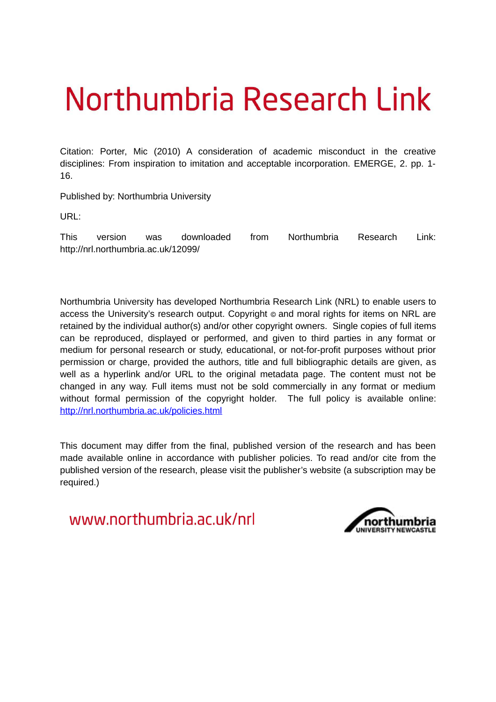# Northumbria Research Link

Citation: Porter, Mic (2010) A consideration of academic misconduct in the creative disciplines: From inspiration to imitation and acceptable incorporation. EMERGE, 2. pp. 1- 16.

Published by: Northumbria University

URL:

This version was downloaded from Northumbria Research Link: http://nrl.northumbria.ac.uk/12099/

Northumbria University has developed Northumbria Research Link (NRL) to enable users to access the University's research output. Copyright  $\circ$  and moral rights for items on NRL are retained by the individual author(s) and/or other copyright owners. Single copies of full items can be reproduced, displayed or performed, and given to third parties in any format or medium for personal research or study, educational, or not-for-profit purposes without prior permission or charge, provided the authors, title and full bibliographic details are given, as well as a hyperlink and/or URL to the original metadata page. The content must not be changed in any way. Full items must not be sold commercially in any format or medium without formal permission of the copyright holder. The full policy is available online: <http://nrl.northumbria.ac.uk/policies.html>

This document may differ from the final, published version of the research and has been made available online in accordance with publisher policies. To read and/or cite from the published version of the research, please visit the publisher's website (a subscription may be required.)

www.northumbria.ac.uk/nrl

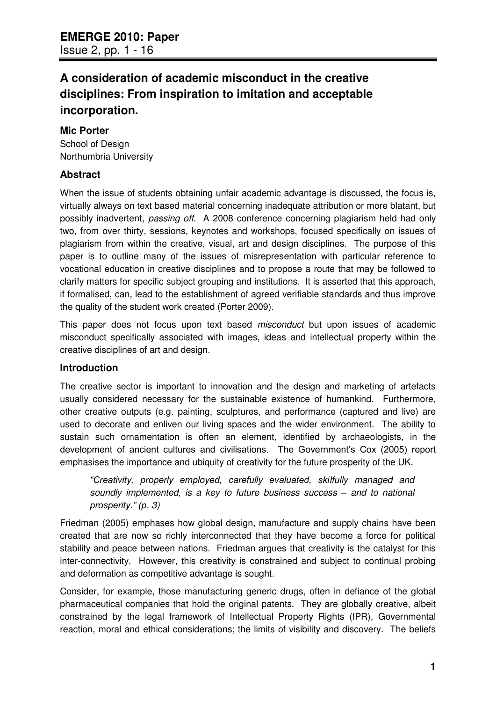## **A consideration of academic misconduct in the creative disciplines: From inspiration to imitation and acceptable incorporation.**

## **Mic Porter**

School of Design Northumbria University

## **Abstract**

When the issue of students obtaining unfair academic advantage is discussed, the focus is, virtually always on text based material concerning inadequate attribution or more blatant, but possibly inadvertent, *passing off*. A 2008 conference concerning plagiarism held had only two, from over thirty, sessions, keynotes and workshops, focused specifically on issues of plagiarism from within the creative, visual, art and design disciplines. The purpose of this paper is to outline many of the issues of misrepresentation with particular reference to vocational education in creative disciplines and to propose a route that may be followed to clarify matters for specific subject grouping and institutions. It is asserted that this approach, if formalised, can, lead to the establishment of agreed verifiable standards and thus improve the quality of the student work created (Porter 2009).

This paper does not focus upon text based *misconduct* but upon issues of academic misconduct specifically associated with images, ideas and intellectual property within the creative disciplines of art and design.

## **Introduction**

The creative sector is important to innovation and the design and marketing of artefacts usually considered necessary for the sustainable existence of humankind. Furthermore, other creative outputs (e.g. painting, sculptures, and performance (captured and live) are used to decorate and enliven our living spaces and the wider environment. The ability to sustain such ornamentation is often an element, identified by archaeologists, in the development of ancient cultures and civilisations. The Government's Cox (2005) report emphasises the importance and ubiquity of creativity for the future prosperity of the UK.

*"Creativity, properly employed, carefully evaluated, skilfully managed and soundly implemented, is a key to future business success – and to national prosperity." (p. 3)*

Friedman (2005) emphases how global design, manufacture and supply chains have been created that are now so richly interconnected that they have become a force for political stability and peace between nations. Friedman argues that creativity is the catalyst for this inter-connectivity. However, this creativity is constrained and subject to continual probing and deformation as competitive advantage is sought.

Consider, for example, those manufacturing generic drugs, often in defiance of the global pharmaceutical companies that hold the original patents. They are globally creative, albeit constrained by the legal framework of Intellectual Property Rights (IPR), Governmental reaction, moral and ethical considerations; the limits of visibility and discovery. The beliefs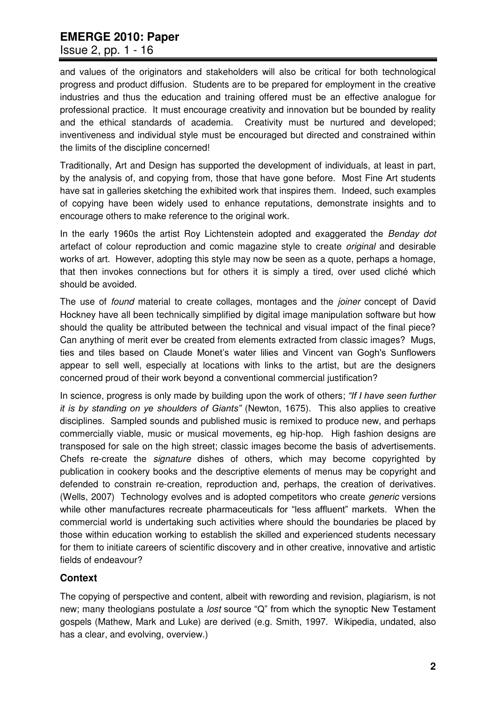### Issue 2, pp. 1 - 16

and values of the originators and stakeholders will also be critical for both technological progress and product diffusion. Students are to be prepared for employment in the creative industries and thus the education and training offered must be an effective analogue for professional practice. It must encourage creativity and innovation but be bounded by reality and the ethical standards of academia. Creativity must be nurtured and developed; inventiveness and individual style must be encouraged but directed and constrained within the limits of the discipline concerned!

Traditionally, Art and Design has supported the development of individuals, at least in part, by the analysis of, and copying from, those that have gone before. Most Fine Art students have sat in galleries sketching the exhibited work that inspires them. Indeed, such examples of copying have been widely used to enhance reputations, demonstrate insights and to encourage others to make reference to the original work.

In the early 1960s the artist Roy Lichtenstein adopted and exaggerated the *Benday dot* artefact of colour reproduction and comic magazine style to create *original* and desirable works of art. However, adopting this style may now be seen as a quote, perhaps a homage, that then invokes connections but for others it is simply a tired, over used cliché which should be avoided.

The use of *found* material to create collages, montages and the *joiner* concept of David Hockney have all been technically simplified by digital image manipulation software but how should the quality be attributed between the technical and visual impact of the final piece? Can anything of merit ever be created from elements extracted from classic images? Mugs, ties and tiles based on Claude Monet"s water lilies and Vincent van Gogh's Sunflowers appear to sell well, especially at locations with links to the artist, but are the designers concerned proud of their work beyond a conventional commercial justification?

In science, progress is only made by building upon the work of others; *"If I have seen further it is by standing on ye shoulders of Giants"* (Newton, 1675). This also applies to creative disciplines. Sampled sounds and published music is remixed to produce new, and perhaps commercially viable, music or musical movements, eg hip-hop. High fashion designs are transposed for sale on the high street; classic images become the basis of advertisements. Chefs re-create the *signature* dishes of others, which may become copyrighted by publication in cookery books and the descriptive elements of menus may be copyright and defended to constrain re-creation, reproduction and, perhaps, the creation of derivatives. (Wells, 2007) Technology evolves and is adopted competitors who create *generic* versions while other manufactures recreate pharmaceuticals for "less affluent" markets. When the commercial world is undertaking such activities where should the boundaries be placed by those within education working to establish the skilled and experienced students necessary for them to initiate careers of scientific discovery and in other creative, innovative and artistic fields of endeavour?

## **Context**

The copying of perspective and content, albeit with rewording and revision, plagiarism, is not new; many theologians postulate a *lost* source "Q" from which the synoptic New Testament gospels (Mathew, Mark and Luke) are derived (e.g. Smith, 1997. Wikipedia, undated, also has a clear, and evolving, overview.)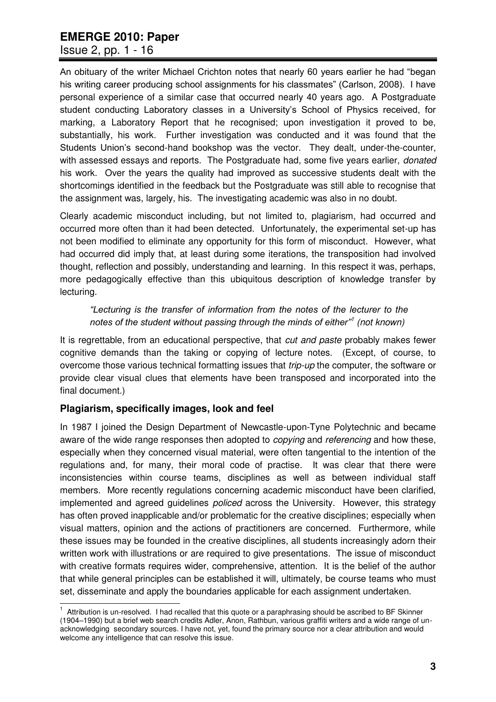## Issue 2, pp. 1 - 16

An obituary of the writer Michael Crichton notes that nearly 60 years earlier he had "began his writing career producing school assignments for his classmates" (Carlson, 2008). I have personal experience of a similar case that occurred nearly 40 years ago. A Postgraduate student conducting Laboratory classes in a University"s School of Physics received, for marking, a Laboratory Report that he recognised; upon investigation it proved to be, substantially, his work. Further investigation was conducted and it was found that the Students Union"s second-hand bookshop was the vector. They dealt, under-the-counter, with assessed essays and reports. The Postgraduate had, some five years earlier, *donated* his work. Over the years the quality had improved as successive students dealt with the shortcomings identified in the feedback but the Postgraduate was still able to recognise that the assignment was, largely, his. The investigating academic was also in no doubt.

Clearly academic misconduct including, but not limited to, plagiarism, had occurred and occurred more often than it had been detected. Unfortunately, the experimental set-up has not been modified to eliminate any opportunity for this form of misconduct. However, what had occurred did imply that, at least during some iterations, the transposition had involved thought, reflection and possibly, understanding and learning. In this respect it was, perhaps, more pedagogically effective than this ubiquitous description of knowledge transfer by lecturing.

## *"Lecturing is the transfer of information from the notes of the lecturer to the notes of the student without passing through the minds of either"<sup>1</sup> (not known)*

It is regrettable, from an educational perspective, that *cut and paste* probably makes fewer cognitive demands than the taking or copying of lecture notes. (Except, of course, to overcome those various technical formatting issues that *trip-up* the computer, the software or provide clear visual clues that elements have been transposed and incorporated into the final document.)

## **Plagiarism, specifically images, look and feel**

In 1987 I joined the Design Department of Newcastle-upon-Tyne Polytechnic and became aware of the wide range responses then adopted to *copying* and *referencing* and how these, especially when they concerned visual material, were often tangential to the intention of the regulations and, for many, their moral code of practise. It was clear that there were inconsistencies within course teams, disciplines as well as between individual staff members. More recently regulations concerning academic misconduct have been clarified, implemented and agreed guidelines *policed* across the University. However, this strategy has often proved inapplicable and/or problematic for the creative disciplines; especially when visual matters, opinion and the actions of practitioners are concerned. Furthermore, while these issues may be founded in the creative disciplines, all students increasingly adorn their written work with illustrations or are required to give presentations. The issue of misconduct with creative formats requires wider, comprehensive, attention. It is the belief of the author that while general principles can be established it will, ultimately, be course teams who must set, disseminate and apply the boundaries applicable for each assignment undertaken.

 1 Attribution is un-resolved. I had recalled that this quote or a paraphrasing should be ascribed to BF Skinner (1904–1990) but a brief web search credits Adler, Anon, Rathbun, various graffiti writers and a wide range of unacknowledging secondary sources. I have not, yet, found the primary source nor a clear attribution and would welcome any intelligence that can resolve this issue.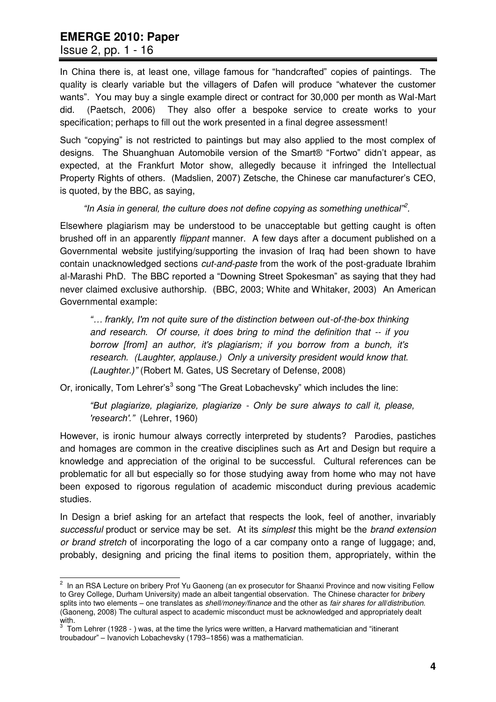Issue 2, pp. 1 - 16

In China there is, at least one, village famous for "handcrafted" copies of paintings. The quality is clearly variable but the villagers of Dafen will produce "whatever the customer wants". You may buy a single example direct or contract for 30,000 per month as Wal-Mart did. (Paetsch, 2006) They also offer a bespoke service to create works to your specification; perhaps to fill out the work presented in a final degree assessment!

Such "copying" is not restricted to paintings but may also applied to the most complex of designs. The Shuanghuan Automobile version of the Smart® "Fortwo" didn"t appear, as expected, at the Frankfurt Motor show, allegedly because it infringed the Intellectual Property Rights of others. (Madslien, 2007) Zetsche, the Chinese car manufacturer"s CEO, is quoted, by the BBC, as saying,

#### *"In Asia in general, the culture does not define copying as something unethical"<sup>2</sup> .*

Elsewhere plagiarism may be understood to be unacceptable but getting caught is often brushed off in an apparently *flippant* manner. A few days after a document published on a Governmental website justifying/supporting the invasion of Iraq had been shown to have contain unacknowledged sections *cut-and-paste* from the work of the post-graduate Ibrahim al-Marashi PhD. The BBC reported a "Downing Street Spokesman" as saying that they had never claimed exclusive authorship. (BBC, 2003; White and Whitaker, 2003) An American Governmental example:

*"… frankly, I'm not quite sure of the distinction between out-of-the-box thinking and research. Of course, it does bring to mind the definition that -- if you borrow [from] an author, it's plagiarism; if you borrow from a bunch, it's research. (Laughter, applause.) Only a university president would know that. (Laughter.)"* (Robert M. Gates, US Secretary of Defense, 2008)

Or, ironically, Tom Lehrer's<sup>3</sup> song "The Great Lobachevsky" which includes the line:

*"But plagiarize, plagiarize, plagiarize - Only be sure always to call it, please, 'research'."* (Lehrer, 1960)

However, is ironic humour always correctly interpreted by students? Parodies, pastiches and homages are common in the creative disciplines such as Art and Design but require a knowledge and appreciation of the original to be successful. Cultural references can be problematic for all but especially so for those studying away from home who may not have been exposed to rigorous regulation of academic misconduct during previous academic studies.

In Design a brief asking for an artefact that respects the look, feel of another, invariably *successful* product or service may be set. At its *simplest* this might be the *brand extension or brand stretch* of incorporating the logo of a car company onto a range of luggage; and, probably, designing and pricing the final items to position them, appropriately, within the

 2 In an RSA Lecture on bribery Prof Yu Gaoneng (an ex prosecutor for Shaanxi Province and now visiting Fellow to Grey College, Durham University) made an albeit tangential observation. The Chinese character for *briber*y splits into two elements – one translates as *shell/money/finance* and the other as *fair shares for all*/*distribution*. (Gaoneng, 2008) The cultural aspect to academic misconduct must be acknowledged and appropriately dealt with.

 $3$  Tom Lehrer (1928 - ) was, at the time the lyrics were written, a Harvard mathematician and "itinerant troubadour" – Ivanovich Lobachevsky (1793–1856) was a mathematician.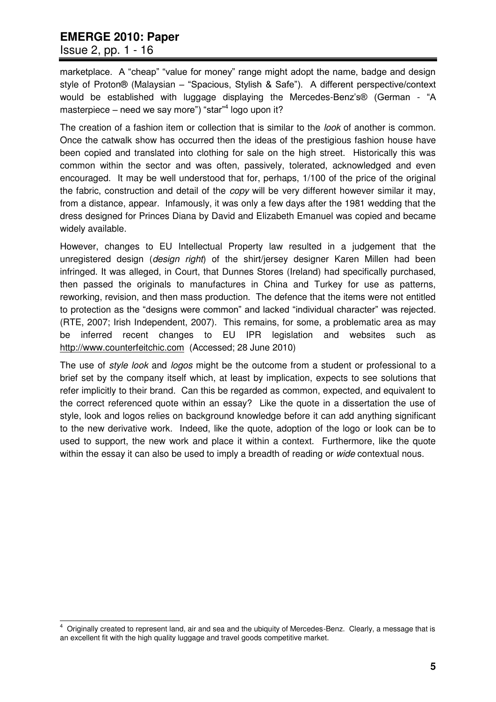### Issue 2, pp. 1 - 16

marketplace. A "cheap" "value for money" range might adopt the name, badge and design style of Proton® (Malaysian – "Spacious, Stylish & Safe"). A different perspective/context would be established with luggage displaying the Mercedes-Benz's® (German - "A masterpiece – need we say more") "star"<sup>4</sup> logo upon it?

The creation of a fashion item or collection that is similar to the *look* of another is common. Once the catwalk show has occurred then the ideas of the prestigious fashion house have been copied and translated into clothing for sale on the high street. Historically this was common within the sector and was often, passively, tolerated, acknowledged and even encouraged. It may be well understood that for, perhaps, 1/100 of the price of the original the fabric, construction and detail of the *copy* will be very different however similar it may, from a distance, appear. Infamously, it was only a few days after the 1981 wedding that the dress designed for Princes Diana by David and Elizabeth Emanuel was copied and became widely available.

However, changes to EU Intellectual Property law resulted in a judgement that the unregistered design (*design right*) of the shirt/jersey designer Karen Millen had been infringed. It was alleged, in Court, that Dunnes Stores (Ireland) had specifically purchased, then passed the originals to manufactures in China and Turkey for use as patterns, reworking, revision, and then mass production. The defence that the items were not entitled to protection as the "designs were common" and lacked "individual character" was rejected. (RTE, 2007; Irish Independent, 2007). This remains, for some, a problematic area as may be inferred recent changes to EU IPR legislation and websites such as [http://www.counterfeitchic.com](http://www.counterfeitchic.com/) (Accessed; 28 June 2010)

The use of *style look* and *logos* might be the outcome from a student or professional to a brief set by the company itself which, at least by implication, expects to see solutions that refer implicitly to their brand. Can this be regarded as common, expected, and equivalent to the correct referenced quote within an essay? Like the quote in a dissertation the use of style, look and logos relies on background knowledge before it can add anything significant to the new derivative work. Indeed, like the quote, adoption of the logo or look can be to used to support, the new work and place it within a context. Furthermore, like the quote within the essay it can also be used to imply a breadth of reading or *wide* contextual nous.

 4 Originally created to represent land, air and sea and the ubiquity of Mercedes-Benz. Clearly, a message that is an excellent fit with the high quality luggage and travel goods competitive market.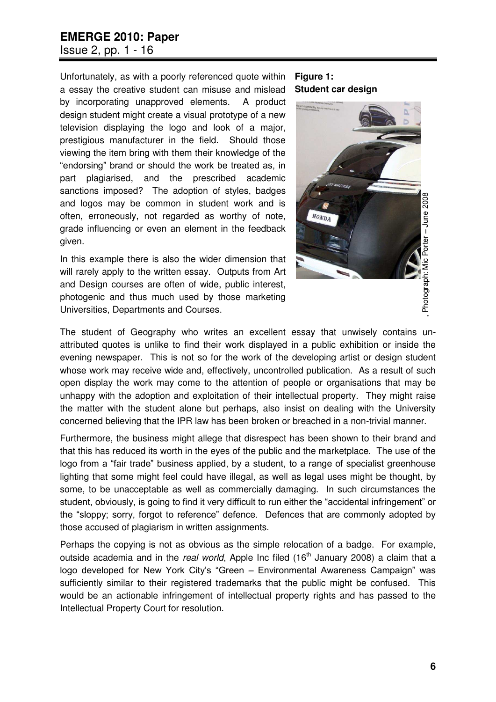## **EMERGE 2010: Paper**  Issue 2, pp. 1 - 16

Unfortunately, as with a poorly referenced quote within a essay the creative student can misuse and mislead by incorporating unapproved elements. A product design student might create a visual prototype of a new television displaying the logo and look of a major, prestigious manufacturer in the field. Should those viewing the item bring with them their knowledge of the "endorsing" brand or should the work be treated as, in part plagiarised, and the prescribed academic sanctions imposed? The adoption of styles, badges and logos may be common in student work and is often, erroneously, not regarded as worthy of note, grade influencing or even an element in the feedback given.

In this example there is also the wider dimension that will rarely apply to the written essay. Outputs from Art and Design courses are often of wide, public interest, photogenic and thus much used by those marketing Universities, Departments and Courses.

#### **Figure 1: Student car design**



The student of Geography who writes an excellent essay that unwisely contains unattributed quotes is unlike to find their work displayed in a public exhibition or inside the evening newspaper. This is not so for the work of the developing artist or design student whose work may receive wide and, effectively, uncontrolled publication. As a result of such open display the work may come to the attention of people or organisations that may be unhappy with the adoption and exploitation of their intellectual property. They might raise the matter with the student alone but perhaps, also insist on dealing with the University concerned believing that the IPR law has been broken or breached in a non-trivial manner.

Furthermore, the business might allege that disrespect has been shown to their brand and that this has reduced its worth in the eyes of the public and the marketplace. The use of the logo from a "fair trade" business applied, by a student, to a range of specialist greenhouse lighting that some might feel could have illegal, as well as legal uses might be thought, by some, to be unacceptable as well as commercially damaging. In such circumstances the student, obviously, is going to find it very difficult to run either the "accidental infringement" or the "sloppy; sorry, forgot to reference" defence. Defences that are commonly adopted by those accused of plagiarism in written assignments.

Perhaps the copying is not as obvious as the simple relocation of a badge. For example, outside academia and in the *real world*, Apple Inc filed (16<sup>th</sup> January 2008) a claim that a logo developed for New York City's "Green – Environmental Awareness Campaign" was sufficiently similar to their registered trademarks that the public might be confused. This would be an actionable infringement of intellectual property rights and has passed to the Intellectual Property Court for resolution.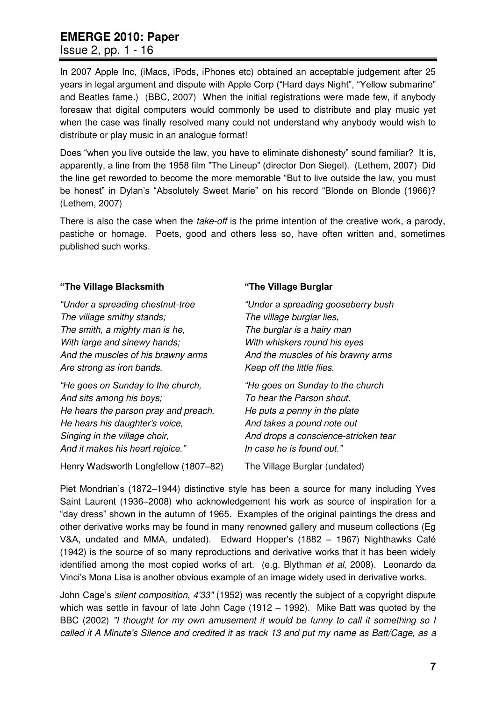Issue 2, pp. 1 - 16

In 2007 Apple Inc, (iMacs, iPods, iPhones etc) obtained an acceptable judgement after 25 years in legal argument and dispute with Apple Corp ("Hard days Night", "Yellow submarine" and Beatles fame.) (BBC, 2007) When the initial registrations were made few, if anybody foresaw that digital computers would commonly be used to distribute and play music yet when the case was finally resolved many could not understand why anybody would wish to distribute or play music in an analogue format!

Does "when you live outside the law, you have to eliminate dishonesty" sound familiar? It is, apparently, a line from the 1958 film "The Lineup" (director Don Siegel). (Lethem, 2007) Did the line get reworded to become the more memorable "But to live outside the law, you must be honest" in Dylan's "Absolutely Sweet Marie" on his record "Blonde on Blonde (1966)? (Lethem, 2007)

There is also the case when the *take-off* is the prime intention of the creative work, a parody, pastiche or homage. Poets, good and others less so, have often written and, sometimes published such works.

#### **"The Village Blacksmith**

*"Under a spreading chestnut-tree The village smithy stands; The smith, a mighty man is he, With large and sinewy hands; And the muscles of his brawny arms Are strong as iron bands.* 

*"He goes on Sunday to the church, And sits among his boys; He hears the parson pray and preach, He hears his daughter's voice, Singing in the village choir, And it makes his heart rejoice."*

Henry Wadsworth Longfellow (1807–82)

#### **"The Village Burglar**

*"Under a spreading gooseberry bush The village burglar lies, The burglar is a hairy man With whiskers round his eyes And the muscles of his brawny arms Keep off the little flies.* 

*"He goes on Sunday to the church To hear the Parson shout. He puts a penny in the plate And takes a pound note out And drops a conscience-stricken tear In case he is found out."*

The Village Burglar (undated)

Piet Mondrian"s (1872–1944) distinctive style has been a source for many including Yves Saint Laurent (1936–2008) who acknowledgement his work as source of inspiration for a "day dress" shown in the autumn of 1965. Examples of the original paintings the dress and other derivative works may be found in many renowned gallery and museum collections (Eg V&A, undated and MMA, undated). Edward Hopper"s (1882 – 1967) Nighthawks Café (1942) is the source of so many reproductions and derivative works that it has been widely identified among the most copied works of art. (e.g. Blythman *et al,* 2008). Leonardo da Vinci"s Mona Lisa is another obvious example of an image widely used in derivative works.

John Cage"s *silent composition, 4'33"* (1952) was recently the subject of a copyright dispute which was settle in favour of late John Cage (1912 – 1992). Mike Batt was quoted by the BBC (2002) *"I thought for my own amusement it would be funny to call it something so I called it A Minute's Silence and credited it as track 13 and put my name as Batt/Cage, as a*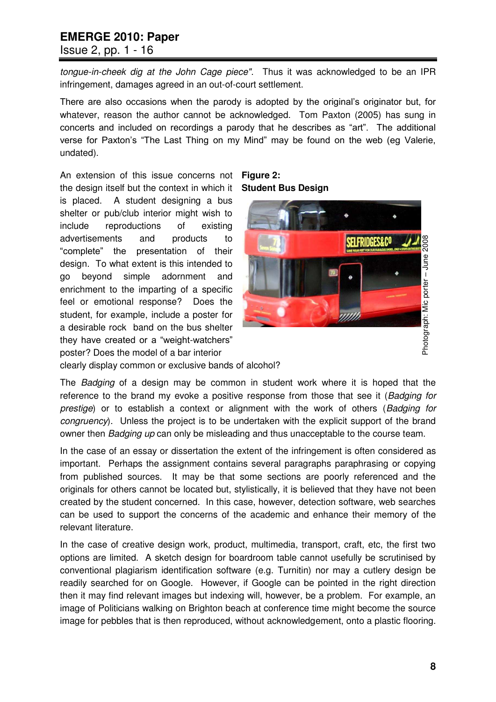Issue 2, pp. 1 - 16

*tongue-in-cheek dig at the John Cage piece".* Thus it was acknowledged to be an IPR infringement, damages agreed in an out-of-court settlement.

There are also occasions when the parody is adopted by the original"s originator but, for whatever, reason the author cannot be acknowledged. Tom Paxton (2005) has sung in concerts and included on recordings a parody that he describes as "art". The additional verse for Paxton's "The Last Thing on my Mind" may be found on the web (eg Valerie, undated).

An extension of this issue concerns not the design itself but the context in which it is placed. A student designing a bus shelter or pub/club interior might wish to include reproductions of existing advertisements and products to "complete" the presentation of their design. To what extent is this intended to go beyond simple adornment and enrichment to the imparting of a specific feel or emotional response? Does the student, for example, include a poster for a desirable rock band on the bus shelter they have created or a "weight-watchers" poster? Does the model of a bar interior





clearly display common or exclusive bands of alcohol?

The *Badging* of a design may be common in student work where it is hoped that the reference to the brand my evoke a positive response from those that see it (*Badging for prestige*) or to establish a context or alignment with the work of others (*Badging for congruency*). Unless the project is to be undertaken with the explicit support of the brand owner then *Badging up* can only be misleading and thus unacceptable to the course team.

In the case of an essay or dissertation the extent of the infringement is often considered as important. Perhaps the assignment contains several paragraphs paraphrasing or copying from published sources. It may be that some sections are poorly referenced and the originals for others cannot be located but, stylistically, it is believed that they have not been created by the student concerned. In this case, however, detection software, web searches can be used to support the concerns of the academic and enhance their memory of the relevant literature.

In the case of creative design work, product, multimedia, transport, craft, etc, the first two options are limited. A sketch design for boardroom table cannot usefully be scrutinised by conventional plagiarism identification software (e.g. Turnitin) nor may a cutlery design be readily searched for on Google. However, if Google can be pointed in the right direction then it may find relevant images but indexing will, however, be a problem. For example, an image of Politicians walking on Brighton beach at conference time might become the source image for pebbles that is then reproduced, without acknowledgement, onto a plastic flooring.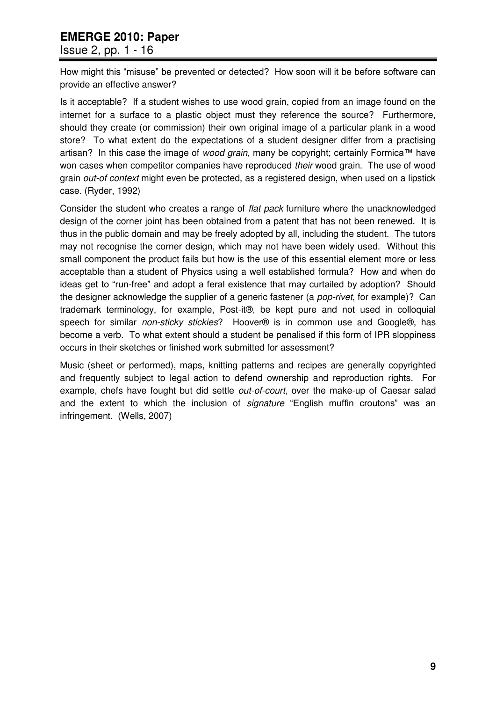#### Issue 2, pp. 1 - 16

How might this "misuse" be prevented or detected? How soon will it be before software can provide an effective answer?

Is it acceptable? If a student wishes to use wood grain, copied from an image found on the internet for a surface to a plastic object must they reference the source? Furthermore, should they create (or commission) their own original image of a particular plank in a wood store? To what extent do the expectations of a student designer differ from a practising artisan? In this case the image of *wood grain*, many be copyright; certainly Formica™ have won cases when competitor companies have reproduced *their* wood grain. The use of wood grain *out-of context* might even be protected, as a registered design, when used on a lipstick case. (Ryder, 1992)

Consider the student who creates a range of *flat pack* furniture where the unacknowledged design of the corner joint has been obtained from a patent that has not been renewed. It is thus in the public domain and may be freely adopted by all, including the student. The tutors may not recognise the corner design, which may not have been widely used. Without this small component the product fails but how is the use of this essential element more or less acceptable than a student of Physics using a well established formula? How and when do ideas get to "run-free" and adopt a feral existence that may curtailed by adoption? Should the designer acknowledge the supplier of a generic fastener (a *pop-rivet*, for example)? Can trademark terminology, for example, Post-it®, be kept pure and not used in colloquial speech for similar *non-sticky stickies*? Hoover<sup>®</sup> is in common use and Google<sup>®</sup>, has become a verb. To what extent should a student be penalised if this form of IPR sloppiness occurs in their sketches or finished work submitted for assessment?

Music (sheet or performed), maps, knitting patterns and recipes are generally copyrighted and frequently subject to legal action to defend ownership and reproduction rights. For example, chefs have fought but did settle *out-of-court*, over the make-up of Caesar salad and the extent to which the inclusion of *signature* "English muffin croutons" was an infringement. (Wells, 2007)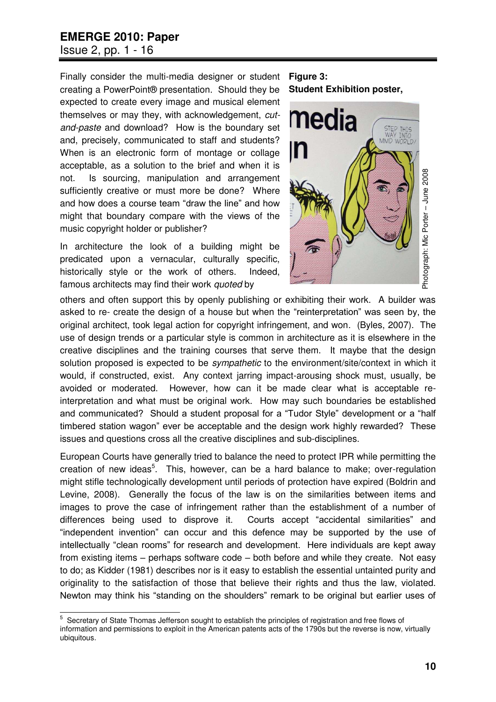## **EMERGE 2010: Paper**  Issue 2, pp. 1 - 16

Finally consider the multi-media designer or student creating a PowerPoint® presentation. Should they be expected to create every image and musical element themselves or may they, with acknowledgement, *cutand-paste* and download? How is the boundary set and, precisely, communicated to staff and students? When is an electronic form of montage or collage acceptable, as a solution to the brief and when it is not. Is sourcing, manipulation and arrangement sufficiently creative or must more be done? Where and how does a course team "draw the line" and how might that boundary compare with the views of the music copyright holder or publisher?

In architecture the look of a building might be predicated upon a vernacular, culturally specific, historically style or the work of others. Indeed, famous architects may find their work *quoted* by

#### **Figure 3: Student Exhibition poster,**



others and often support this by openly publishing or exhibiting their work. A builder was asked to re- create the design of a house but when the "reinterpretation" was seen by, the original architect, took legal action for copyright infringement, and won. (Byles, 2007). The use of design trends or a particular style is common in architecture as it is elsewhere in the creative disciplines and the training courses that serve them. It maybe that the design solution proposed is expected to be *sympathetic* to the environment/site/context in which it would, if constructed, exist. Any context jarring impact-arousing shock must, usually, be avoided or moderated. However, how can it be made clear what is acceptable reinterpretation and what must be original work. How may such boundaries be established and communicated? Should a student proposal for a "Tudor Style" development or a "half timbered station wagon" ever be acceptable and the design work highly rewarded? These issues and questions cross all the creative disciplines and sub-disciplines.

European Courts have generally tried to balance the need to protect IPR while permitting the creation of new ideas<sup>5</sup>. This, however, can be a hard balance to make; over-regulation might stifle technologically development until periods of protection have expired (Boldrin and Levine, 2008). Generally the focus of the law is on the similarities between items and images to prove the case of infringement rather than the establishment of a number of differences being used to disprove it. Courts accept "accidental similarities" and "independent invention" can occur and this defence may be supported by the use of intellectually "clean rooms" for research and development. Here individuals are kept away from existing items – perhaps software code – both before and while they create. Not easy to do; as Kidder (1981) describes nor is it easy to establish the essential untainted purity and originality to the satisfaction of those that believe their rights and thus the law, violated. Newton may think his "standing on the shoulders" remark to be original but earlier uses of

 5 Secretary of State Thomas Jefferson sought to establish the principles of registration and free flows of information and permissions to exploit in the American patents acts of the 1790s but the reverse is now, virtually ubiquitous.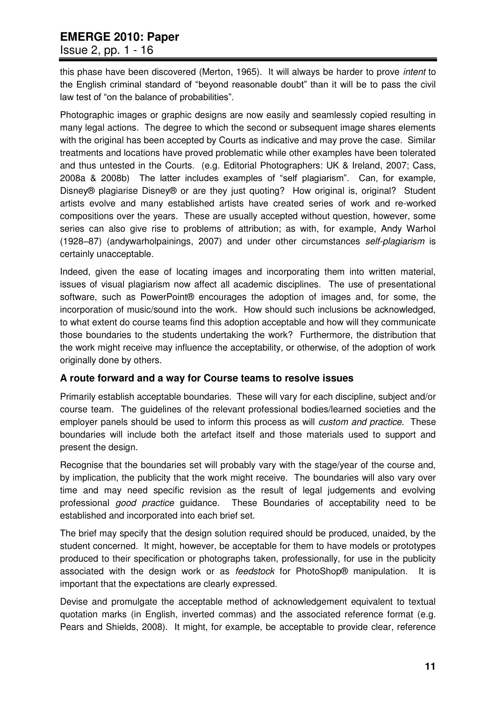## Issue 2, pp. 1 - 16

this phase have been discovered (Merton, 1965). It will always be harder to prove *intent* to the English criminal standard of "beyond reasonable doubt" than it will be to pass the civil law test of "on the balance of probabilities".

Photographic images or graphic designs are now easily and seamlessly copied resulting in many legal actions. The degree to which the second or subsequent image shares elements with the original has been accepted by Courts as indicative and may prove the case. Similar treatments and locations have proved problematic while other examples have been tolerated and thus untested in the Courts. (e.g. Editorial Photographers: UK & Ireland, 2007; Cass, 2008a & 2008b) The latter includes examples of "self plagiarism". Can, for example, Disney<sup>®</sup> plagiarise Disney<sup>®</sup> or are they just quoting? How original is, original? Student artists evolve and many established artists have created series of work and re-worked compositions over the years. These are usually accepted without question, however, some series can also give rise to problems of attribution; as with, for example, Andy Warhol (1928–87) (andywarholpainings, 2007) and under other circumstances *self-plagiarism* is certainly unacceptable.

Indeed, given the ease of locating images and incorporating them into written material, issues of visual plagiarism now affect all academic disciplines. The use of presentational software, such as PowerPoint® encourages the adoption of images and, for some, the incorporation of music/sound into the work. How should such inclusions be acknowledged, to what extent do course teams find this adoption acceptable and how will they communicate those boundaries to the students undertaking the work? Furthermore, the distribution that the work might receive may influence the acceptability, or otherwise, of the adoption of work originally done by others.

#### **A route forward and a way for Course teams to resolve issues**

Primarily establish acceptable boundaries. These will vary for each discipline, subject and/or course team. The guidelines of the relevant professional bodies/learned societies and the employer panels should be used to inform this process as will *custom and practice*. These boundaries will include both the artefact itself and those materials used to support and present the design.

Recognise that the boundaries set will probably vary with the stage/year of the course and, by implication, the publicity that the work might receive. The boundaries will also vary over time and may need specific revision as the result of legal judgements and evolving professional *good practice* guidance. These Boundaries of acceptability need to be established and incorporated into each brief set.

The brief may specify that the design solution required should be produced, unaided, by the student concerned. It might, however, be acceptable for them to have models or prototypes produced to their specification or photographs taken, professionally, for use in the publicity associated with the design work or as *feedstock* for PhotoShop® manipulation. It is important that the expectations are clearly expressed.

Devise and promulgate the acceptable method of acknowledgement equivalent to textual quotation marks (in English, inverted commas) and the associated reference format (e.g. Pears and Shields, 2008). It might, for example, be acceptable to provide clear, reference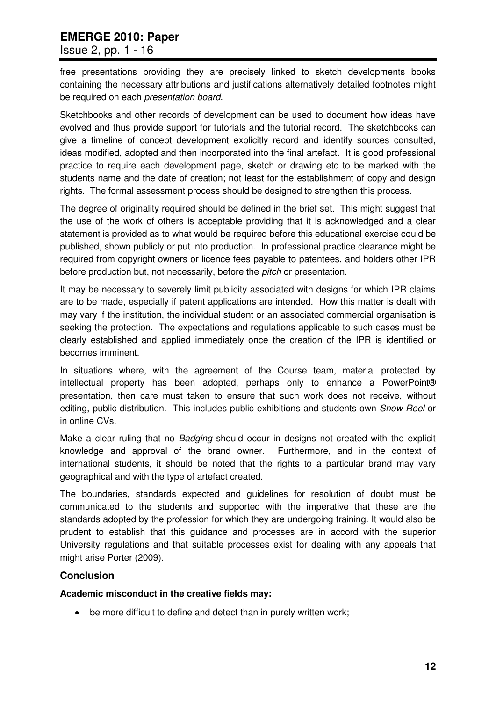### Issue 2, pp. 1 - 16

free presentations providing they are precisely linked to sketch developments books containing the necessary attributions and justifications alternatively detailed footnotes might be required on each *presentation board*.

Sketchbooks and other records of development can be used to document how ideas have evolved and thus provide support for tutorials and the tutorial record. The sketchbooks can give a timeline of concept development explicitly record and identify sources consulted, ideas modified, adopted and then incorporated into the final artefact. It is good professional practice to require each development page, sketch or drawing etc to be marked with the students name and the date of creation; not least for the establishment of copy and design rights. The formal assessment process should be designed to strengthen this process.

The degree of originality required should be defined in the brief set. This might suggest that the use of the work of others is acceptable providing that it is acknowledged and a clear statement is provided as to what would be required before this educational exercise could be published, shown publicly or put into production. In professional practice clearance might be required from copyright owners or licence fees payable to patentees, and holders other IPR before production but, not necessarily, before the *pitch* or presentation.

It may be necessary to severely limit publicity associated with designs for which IPR claims are to be made, especially if patent applications are intended. How this matter is dealt with may vary if the institution, the individual student or an associated commercial organisation is seeking the protection. The expectations and regulations applicable to such cases must be clearly established and applied immediately once the creation of the IPR is identified or becomes imminent.

In situations where, with the agreement of the Course team, material protected by intellectual property has been adopted, perhaps only to enhance a PowerPoint® presentation, then care must taken to ensure that such work does not receive, without editing, public distribution. This includes public exhibitions and students own *Show Reel* or in online CVs.

Make a clear ruling that no *Badging* should occur in designs not created with the explicit knowledge and approval of the brand owner. Furthermore, and in the context of international students, it should be noted that the rights to a particular brand may vary geographical and with the type of artefact created.

The boundaries, standards expected and guidelines for resolution of doubt must be communicated to the students and supported with the imperative that these are the standards adopted by the profession for which they are undergoing training. It would also be prudent to establish that this guidance and processes are in accord with the superior University regulations and that suitable processes exist for dealing with any appeals that might arise Porter (2009).

## **Conclusion**

#### **Academic misconduct in the creative fields may:**

be more difficult to define and detect than in purely written work;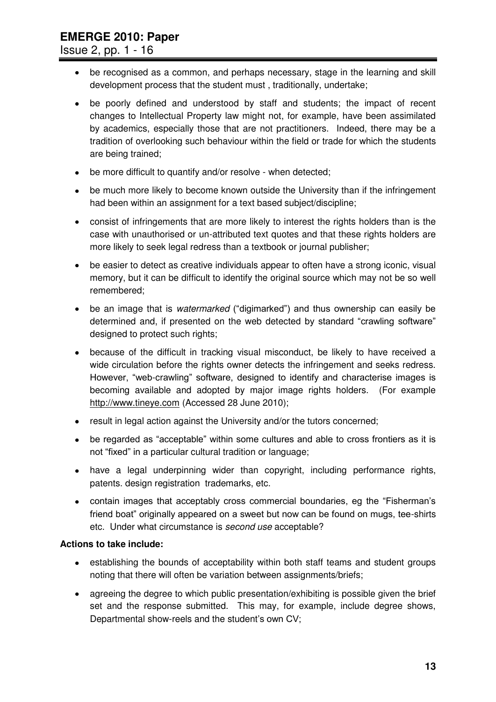Issue 2, pp. 1 - 16

- be recognised as a common, and perhaps necessary, stage in the learning and skill development process that the student must , traditionally, undertake;
- be poorly defined and understood by staff and students; the impact of recent changes to Intellectual Property law might not, for example, have been assimilated by academics, especially those that are not practitioners. Indeed, there may be a tradition of overlooking such behaviour within the field or trade for which the students are being trained;
- be more difficult to quantify and/or resolve when detected;
- be much more likely to become known outside the University than if the infringement had been within an assignment for a text based subject/discipline;
- consist of infringements that are more likely to interest the rights holders than is the case with unauthorised or un-attributed text quotes and that these rights holders are more likely to seek legal redress than a textbook or journal publisher;
- be easier to detect as creative individuals appear to often have a strong iconic, visual memory, but it can be difficult to identify the original source which may not be so well remembered;
- be an image that is *watermarked* ("digimarked") and thus ownership can easily be determined and, if presented on the web detected by standard "crawling software" designed to protect such rights;
- because of the difficult in tracking visual misconduct, be likely to have received a wide circulation before the rights owner detects the infringement and seeks redress. However, "web-crawling" software, designed to identify and characterise images is becoming available and adopted by major image rights holders. (For example [http://www.tineye.com](http://www.tineye.com/) (Accessed 28 June 2010);
- result in legal action against the University and/or the tutors concerned;
- be regarded as "acceptable" within some cultures and able to cross frontiers as it is not "fixed" in a particular cultural tradition or language;
- have a legal underpinning wider than copyright, including performance rights, patents. design registration trademarks, etc.
- contain images that acceptably cross commercial boundaries, eg the "Fisherman"s friend boat" originally appeared on a sweet but now can be found on mugs, tee-shirts etc. Under what circumstance is *second use* acceptable?

#### **Actions to take include:**

- establishing the bounds of acceptability within both staff teams and student groups noting that there will often be variation between assignments/briefs;
- agreeing the degree to which public presentation/exhibiting is possible given the brief set and the response submitted. This may, for example, include degree shows, Departmental show-reels and the student's own CV;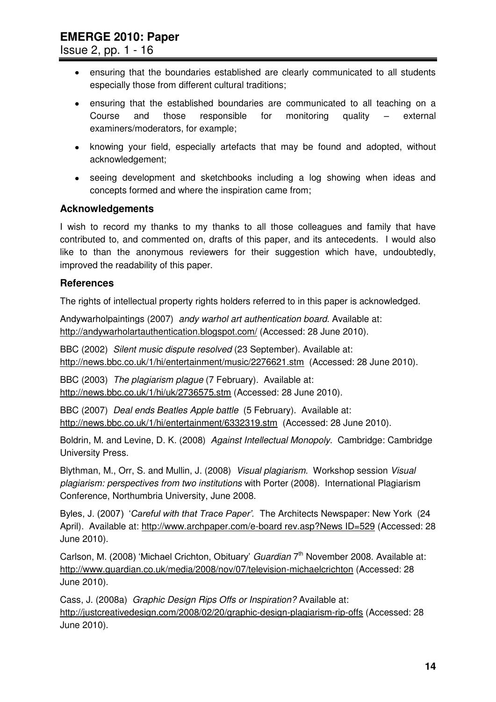Issue 2, pp. 1 - 16

- ensuring that the boundaries established are clearly communicated to all students especially those from different cultural traditions;
- ensuring that the established boundaries are communicated to all teaching on a Course and those responsible for monitoring quality – external examiners/moderators, for example;
- knowing your field, especially artefacts that may be found and adopted, without acknowledgement;
- seeing development and sketchbooks including a log showing when ideas and concepts formed and where the inspiration came from;

#### **Acknowledgements**

I wish to record my thanks to my thanks to all those colleagues and family that have contributed to, and commented on, drafts of this paper, and its antecedents. I would also like to than the anonymous reviewers for their suggestion which have, undoubtedly, improved the readability of this paper.

#### **References**

The rights of intellectual property rights holders referred to in this paper is acknowledged.

Andywarholpaintings (2007) *andy warhol art authentication board*. Available at: http://andywarholartauthentication.blogspot.com/ (Accessed: 28 June 2010).

BBC (2002) *Silent music dispute resolved* (23 September). Available at: <http://news.bbc.co.uk/1/hi/entertainment/music/2276621.stm>(Accessed: 28 June 2010).

BBC (2003) *The plagiarism plague* (7 February). Available at: <http://news.bbc.co.uk/1/hi/uk/2736575.stm>(Accessed: 28 June 2010).

BBC (2007) *Deal ends Beatles Apple battle* (5 February). Available at: <http://news.bbc.co.uk/1/hi/entertainment/6332319.stm>(Accessed: 28 June 2010).

Boldrin, M. and Levine, D. K. (2008) *Against Intellectual Monopoly.* Cambridge: Cambridge University Press.

Blythman, M., Orr, S. and Mullin, J. (2008) *Visual plagiarism.* Workshop session *Visual plagiarism: perspectives from two institutions* with Porter (2008). International Plagiarism Conference, Northumbria University, June 2008.

Byles, J. (2007) "*Careful with that Trace Paper'.* The Architects Newspaper: New York (24 April). Available at:<http://www.archpaper.com/e-board>rev.asp?News ID=529 (Accessed: 28 June 2010).

Carlson, M. (2008) 'Michael Crichton, Obituary' *Guardian* 7<sup>th</sup> November 2008. Available at: <http://www.guardian.co.uk/media/2008/nov/07/television-michaelcrichton>(Accessed: 28 June 2010).

Cass, J. (2008a) *Graphic Design Rips Offs or Inspiration?* Available at: <http://justcreativedesign.com/2008/02/20/graphic-design-plagiarism-rip-offs>(Accessed: 28 June 2010).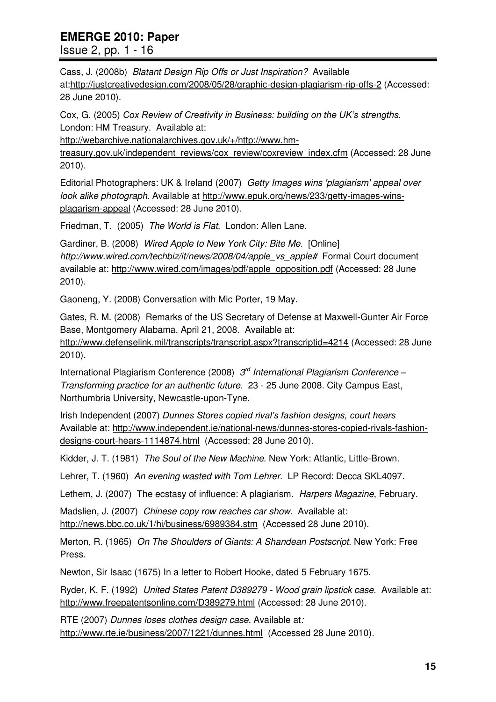## Issue 2, pp. 1 - 16

Cass, J. (2008b) *Blatant Design Rip Offs or Just Inspiration?* Available at[:http://justcreativedesign.com/2008/05/28/graphic-design-plagiarism-rip-offs-2](http://justcreativedesign.com/2008/05/28/graphic-design-plagiarism-rip-offs-2) (Accessed: 28 June 2010).

Cox, G. (2005) *Cox Review of Creativity in Business: building on the UK's strengths.* London: HM Treasury. Available at:

[http://webarchive.nationalarchives.gov.uk/+/http://www.hm-](http://webarchive.nationalarchives.gov.uk/+/http:/www.hm-treasury.gov.uk/independent_reviews/cox_review/coxreview_index.cfm)

[treasury.gov.uk/independent\\_reviews/cox\\_review/coxreview\\_index.cfm](http://webarchive.nationalarchives.gov.uk/+/http:/www.hm-treasury.gov.uk/independent_reviews/cox_review/coxreview_index.cfm) (Accessed: 28 June 2010).

Editorial Photographers: UK & Ireland (2007) *Getty Images wins 'plagiarism' appeal over look alike photograph.* Available at [http://www.epuk.org/news/233/getty-images-wins](http://www.epuk.org/news/233/getty-images-wins-plagarism-appeal)[plagarism-appeal](http://www.epuk.org/news/233/getty-images-wins-plagarism-appeal) (Accessed: 28 June 2010).

Friedman, T. (2005) *The World is Flat.* London: Allen Lane.

Gardiner, B. (2008) *Wired Apple to New York City: Bite Me.* [Online] *http://www.wired.com/techbiz/it/news/2008/04/apple\_vs\_apple#* Formal Court document available at: [http://www.wired.com/images/pdf/apple\\_opposition.pdf](http://www.wired.com/images/pdf/apple_opposition.pdf) (Accessed: 28 June 2010).

Gaoneng, Y. (2008) Conversation with Mic Porter, 19 May.

Gates, R. M. (2008) Remarks of the US Secretary of Defense at Maxwell-Gunter Air Force Base, Montgomery Alabama, April 21, 2008. Available at:

<http://www.defenselink.mil/transcripts/transcript.aspx?transcriptid=4214>(Accessed: 28 June 2010).

International Plagiarism Conference (2008) *3 rd International Plagiarism Conference – Transforming practice for an authentic future.* 23 - 25 June 2008. City Campus East, Northumbria University, Newcastle-upon-Tyne.

Irish Independent (2007) *Dunnes Stores copied rival's fashion designs, court hears*  Available at: [http://www.independent.ie/national-news/dunnes-stores-copied-rivals-fashion](http://www.independent.ie/national-news/dunnes-stores-copied-rivals-fashion-designs-court-hears-1114874.html)[designs-court-hears-1114874.html](http://www.independent.ie/national-news/dunnes-stores-copied-rivals-fashion-designs-court-hears-1114874.html) (Accessed: 28 June 2010).

Kidder, J. T. (1981) *The Soul of the New Machine*. New York: Atlantic, Little-Brown.

Lehrer, T. (1960) *An evening wasted with Tom Lehrer.* LP Record: Decca SKL4097.

Lethem, J. (2007) The ecstasy of influence: A plagiarism. *Harpers Magazine*, February.

Madslien, J. (2007) *Chinese copy row reaches car show.* Available at:

[http://news.bbc.co.uk/1/hi/business/6989384.](http://news.bbc.co.uk/1/hi/business/6989384)stm (Accessed 28 June 2010).

Merton, R. (1965) *On The Shoulders of Giants: A Shandean Postscript.* New York: Free Press.

Newton, Sir Isaac (1675) In a letter to Robert Hooke, dated 5 February 1675.

Ryder, K. F. (1992) *United States Patent D389279 - Wood grain lipstick case*. Available at: <http://www.freepatentsonline.com/D389279.html>(Accessed: 28 June 2010).

RTE (2007) *Dunnes loses clothes design case.* Available at*:*  <http://www.rte.ie/business/2007/1221/dunnes.html> (Accessed 28 June 2010).